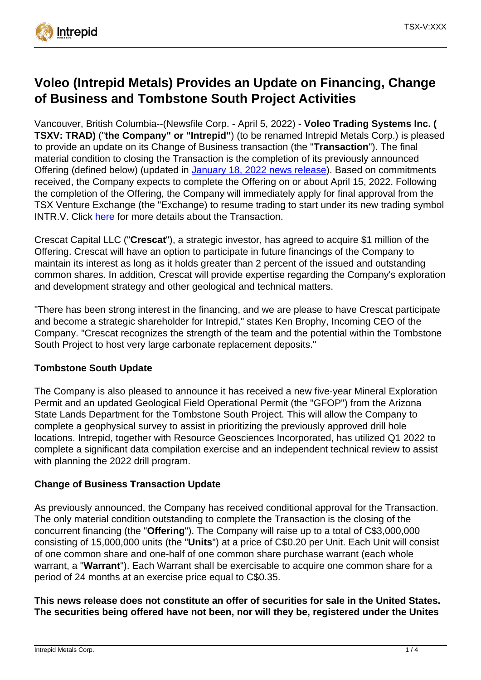

# **Voleo (Intrepid Metals) Provides an Update on Financing, Change of Business and Tombstone South Project Activities**

Vancouver, British Columbia--(Newsfile Corp. - April 5, 2022) - **Voleo Trading Systems Inc. ( TSXV: TRAD)** ("**the Company" or "Intrepid"**) (to be renamed Intrepid Metals Corp.) is pleased to provide an update on its Change of Business transaction (the "**Transaction**"). The final material condition to closing the Transaction is the completion of its previously announced Offering (defined below) (updated in [January 18, 2022 news release](https://www.newsfilecorp.com/redirect/moAXPUer1p)). Based on commitments received, the Company expects to complete the Offering on or about April 15, 2022. Following the completion of the Offering, the Company will immediately apply for final approval from the TSX Venture Exchange (the "Exchange) to resume trading to start under its new trading symbol INTR.V. Click [here](https://www.newsfilecorp.com/redirect/kzARoS1oEy) for more details about the Transaction.

Crescat Capital LLC ("**Crescat**"), a strategic investor, has agreed to acquire \$1 million of the Offering. Crescat will have an option to participate in future financings of the Company to maintain its interest as long as it holds greater than 2 percent of the issued and outstanding common shares. In addition, Crescat will provide expertise regarding the Company's exploration and development strategy and other geological and technical matters.

"There has been strong interest in the financing, and we are please to have Crescat participate and become a strategic shareholder for Intrepid," states Ken Brophy, Incoming CEO of the Company. "Crescat recognizes the strength of the team and the potential within the Tombstone South Project to host very large carbonate replacement deposits."

## **Tombstone South Update**

The Company is also pleased to announce it has received a new five-year Mineral Exploration Permit and an updated Geological Field Operational Permit (the "GFOP") from the Arizona State Lands Department for the Tombstone South Project. This will allow the Company to complete a geophysical survey to assist in prioritizing the previously approved drill hole locations. Intrepid, together with Resource Geosciences Incorporated, has utilized Q1 2022 to complete a significant data compilation exercise and an independent technical review to assist with planning the 2022 drill program.

## **Change of Business Transaction Update**

As previously announced, the Company has received conditional approval for the Transaction. The only material condition outstanding to complete the Transaction is the closing of the concurrent financing (the "**Offering**"). The Company will raise up to a total of C\$3,000,000 consisting of 15,000,000 units (the "**Units**") at a price of C\$0.20 per Unit. Each Unit will consist of one common share and one-half of one common share purchase warrant (each whole warrant, a "**Warrant**"). Each Warrant shall be exercisable to acquire one common share for a period of 24 months at an exercise price equal to C\$0.35.

**This news release does not constitute an offer of securities for sale in the United States. The securities being offered have not been, nor will they be, registered under the Unites**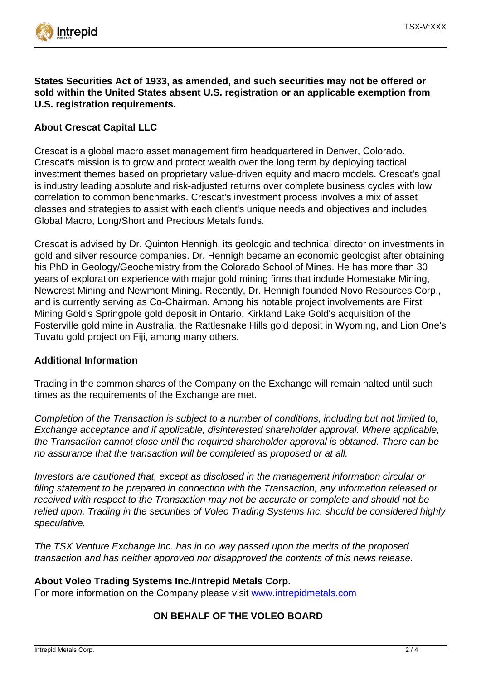

**States Securities Act of 1933, as amended, and such securities may not be offered or sold within the United States absent U.S. registration or an applicable exemption from U.S. registration requirements.**

## **About Crescat Capital LLC**

Crescat is a global macro asset management firm headquartered in Denver, Colorado. Crescat's mission is to grow and protect wealth over the long term by deploying tactical investment themes based on proprietary value-driven equity and macro models. Crescat's goal is industry leading absolute and risk-adjusted returns over complete business cycles with low correlation to common benchmarks. Crescat's investment process involves a mix of asset classes and strategies to assist with each client's unique needs and objectives and includes Global Macro, Long/Short and Precious Metals funds.

Crescat is advised by Dr. Quinton Hennigh, its geologic and technical director on investments in gold and silver resource companies. Dr. Hennigh became an economic geologist after obtaining his PhD in Geology/Geochemistry from the Colorado School of Mines. He has more than 30 years of exploration experience with major gold mining firms that include Homestake Mining, Newcrest Mining and Newmont Mining. Recently, Dr. Hennigh founded Novo Resources Corp., and is currently serving as Co-Chairman. Among his notable project involvements are First Mining Gold's Springpole gold deposit in Ontario, Kirkland Lake Gold's acquisition of the Fosterville gold mine in Australia, the Rattlesnake Hills gold deposit in Wyoming, and Lion One's Tuvatu gold project on Fiji, among many others.

#### **Additional Information**

Trading in the common shares of the Company on the Exchange will remain halted until such times as the requirements of the Exchange are met.

Completion of the Transaction is subject to a number of conditions, including but not limited to, Exchange acceptance and if applicable, disinterested shareholder approval. Where applicable, the Transaction cannot close until the required shareholder approval is obtained. There can be no assurance that the transaction will be completed as proposed or at all.

Investors are cautioned that, except as disclosed in the management information circular or filing statement to be prepared in connection with the Transaction, any information released or received with respect to the Transaction may not be accurate or complete and should not be relied upon. Trading in the securities of Voleo Trading Systems Inc. should be considered highly speculative.

The TSX Venture Exchange Inc. has in no way passed upon the merits of the proposed transaction and has neither approved nor disapproved the contents of this news release.

#### **About Voleo Trading Systems Inc./Intrepid Metals Corp.**

For more information on the Company please visit [www.intrepidmetals.com](https://www.newsfilecorp.com/redirect/BNkGyu0yQJ)

## **ON BEHALF OF THE VOLEO BOARD**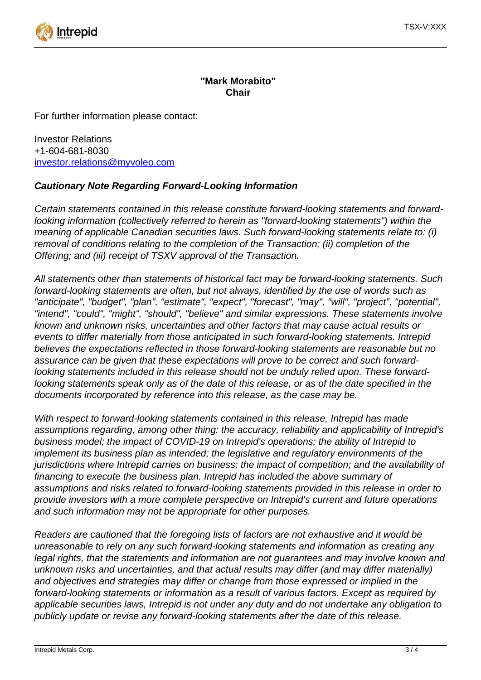

## **"Mark Morabito" Chair**

For further information please contact:

Investor Relations +1-604-681-8030 [investor.relations@myvoleo.com](mailto:investor.relations@myvoleo.com)

## **Cautionary Note Regarding Forward-Looking Information**

Certain statements contained in this release constitute forward-looking statements and forwardlooking information (collectively referred to herein as "forward-looking statements") within the meaning of applicable Canadian securities laws. Such forward-looking statements relate to: (i) removal of conditions relating to the completion of the Transaction; (ii) completion of the Offering; and (iii) receipt of TSXV approval of the Transaction.

All statements other than statements of historical fact may be forward-looking statements. Such forward-looking statements are often, but not always, identified by the use of words such as "anticipate", "budget", "plan", "estimate", "expect", "forecast", "may", "will", "project", "potential", "intend", "could", "might", "should", "believe" and similar expressions. These statements involve known and unknown risks, uncertainties and other factors that may cause actual results or events to differ materially from those anticipated in such forward-looking statements. Intrepid believes the expectations reflected in those forward-looking statements are reasonable but no assurance can be given that these expectations will prove to be correct and such forwardlooking statements included in this release should not be unduly relied upon. These forwardlooking statements speak only as of the date of this release, or as of the date specified in the documents incorporated by reference into this release, as the case may be.

With respect to forward-looking statements contained in this release, Intrepid has made assumptions regarding, among other thing: the accuracy, reliability and applicability of Intrepid's business model; the impact of COVID-19 on Intrepid's operations; the ability of Intrepid to implement its business plan as intended; the legislative and regulatory environments of the jurisdictions where Intrepid carries on business; the impact of competition; and the availability of financing to execute the business plan. Intrepid has included the above summary of assumptions and risks related to forward-looking statements provided in this release in order to provide investors with a more complete perspective on Intrepid's current and future operations and such information may not be appropriate for other purposes.

Readers are cautioned that the foregoing lists of factors are not exhaustive and it would be unreasonable to rely on any such forward-looking statements and information as creating any legal rights, that the statements and information are not guarantees and may involve known and unknown risks and uncertainties, and that actual results may differ (and may differ materially) and objectives and strategies may differ or change from those expressed or implied in the forward-looking statements or information as a result of various factors. Except as required by applicable securities laws, Intrepid is not under any duty and do not undertake any obligation to publicly update or revise any forward-looking statements after the date of this release.